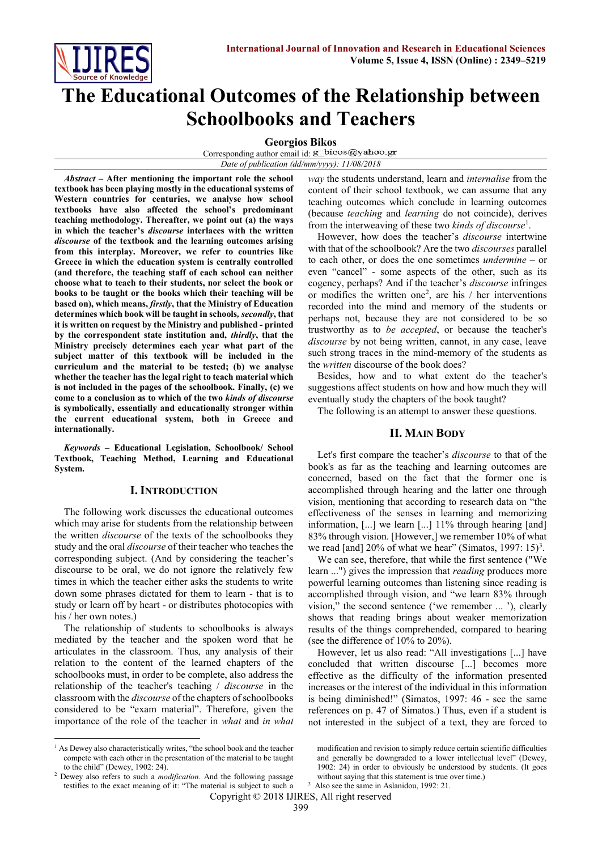

# **The Educational Outcomes of the Relationship between Schoolbooks and Teachers**

**Georgios Bikos**

Corresponding author email id: g\_bicos@yahoo.gr *Date of publication (dd/mm/yyyy): 11/08/2018*

*Abstract* **– After mentioning the important role the school textbook has been playing mostly in the educational systems of Western countries for centuries, we analyse how school textbooks have also affected the school's predominant teaching methodology. Thereafter, we point out (a) the ways in which the teacher's** *discourse* **interlaces with the written** *discourse* **of the textbook and the learning outcomes arising from this interplay. Moreover, we refer to countries like Greece in which the education system is centrally controlled (and therefore, the teaching staff of each school can neither choose what to teach to their students, nor select the book or books to be taught or the books which their teaching will be based on), which means,** *firstly***, that the Ministry of Education determines which book will be taught in schools***, secondly***, that it is written on request by the Ministry and published - printed by the correspondent state institution and,** *thirdly***, that the Ministry precisely determines each year what part of the subject matter of this textbook will be included in the curriculum and the material to be tested; (b) we analyse whether the teacher has the legal right to teach material which is not included in the pages of the schoolbook. Finally, (c) we come to a conclusion as to which of the two** *kinds of discourse* **is symbolically, essentially and educationally stronger within the current educational system, both in Greece and internationally.**

*Keywords* **– Educational Legislation, Schoolbook/ School Textbook, Teaching Method, Learning and Educational System.**

## **I. INTRODUCTION**

The following work discusses the educational outcomes which may arise for students from the relationship between the written *discourse* of the texts of the schoolbooks they study and the oral *discourse* of their teacher who teaches the corresponding subject. (And by considering the teacher's discourse to be oral, we do not ignore the relatively few times in which the teacher either asks the students to write down some phrases dictated for them to learn - that is to study or learn off by heart - or distributes photocopies with his / her own notes.)

The relationship of students to schoolbooks is always mediated by the teacher and the spoken word that he articulates in the classroom. Thus, any analysis of their relation to the content of the learned chapters of the schoolbooks must, in order to be complete, also address the relationship of the teacher's teaching / *discourse* in the classroom with the *discourse* of the chapters of schoolbooks considered to be "exam material". Therefore, given the importance of the role of the teacher in *what* and *in what* 

 $\overline{\phantom{a}}$ 

*way* the students understand, learn and *internalise* from the content of their school textbook, we can assume that any teaching outcomes which conclude in learning outcomes (because *teaching* and *learning* do not coincide), derives from the interweaving of these two *kinds of discourse*<sup>1</sup> .

However, how does the teacher's *discourse* intertwine with that of the schoolbook? Are the two *discourses* parallel to each other, or does the one sometimes *undermine* – or even "cancel" - some aspects of the other, such as its cogency, perhaps? And if the teacher's *discourse* infringes or modifies the written one<sup>2</sup>, are his  $/$  her interventions recorded into the mind and memory of the students or perhaps not, because they are not considered to be so trustworthy as to *be accepted*, or because the teacher's *discourse* by not being written, cannot, in any case, leave such strong traces in the mind-memory of the students as the *written* discourse of the book does?

Besides, how and to what extent do the teacher's suggestions affect students on how and how much they will eventually study the chapters of the book taught?

The following is an attempt to answer these questions.

## **II. MAIN BODY**

Let's first compare the teacher's *discourse* to that of the book's as far as the teaching and learning outcomes are concerned, based on the fact that the former one is accomplished through hearing and the latter one through vision, mentioning that according to research data on "the effectiveness of the senses in learning and memorizing information, [...] we learn [...] 11% through hearing [and] 83% through vision. [However,] we remember 10% of what we read [and]  $20\%$  of what we hear" (Simatos, 1997: 15)<sup>3</sup>.

We can see, therefore, that while the first sentence ("We learn ...") gives the impression that *reading* produces more powerful learning outcomes than listening since reading is accomplished through vision, and "we learn 83% through vision," the second sentence ('we remember ... '), clearly shows that reading brings about weaker memorization results of the things comprehended, compared to hearing (see the difference of 10% to 20%).

However, let us also read: "All investigations [...] have concluded that written discourse [...] becomes more effective as the difficulty of the information presented increases or the interest of the individual in this information is being diminished!" (Simatos, 1997: 46 - see the same references on p. 47 of Simatos.) Thus, even if a student is not interested in the subject of a text, they are forced to

<sup>3</sup> Also see the same in Aslanidou, 1992: 21.

Copyright © 2018 IJIRES, All right reserved

<sup>&</sup>lt;sup>1</sup> As Dewey also characteristically writes, "the school book and the teacher compete with each other in the presentation of the material to be taught to the child" (Dewey, 1902: 24).

<sup>2</sup> Dewey also refers to such a *modification*. And the following passage testifies to the exact meaning of it: "The material is subject to such a

modification and revision to simply reduce certain scientific difficulties and generally be downgraded to a lower intellectual level" (Dewey, 1902: 24) in order to obviously be understood by students. (It goes without saying that this statement is true over time.)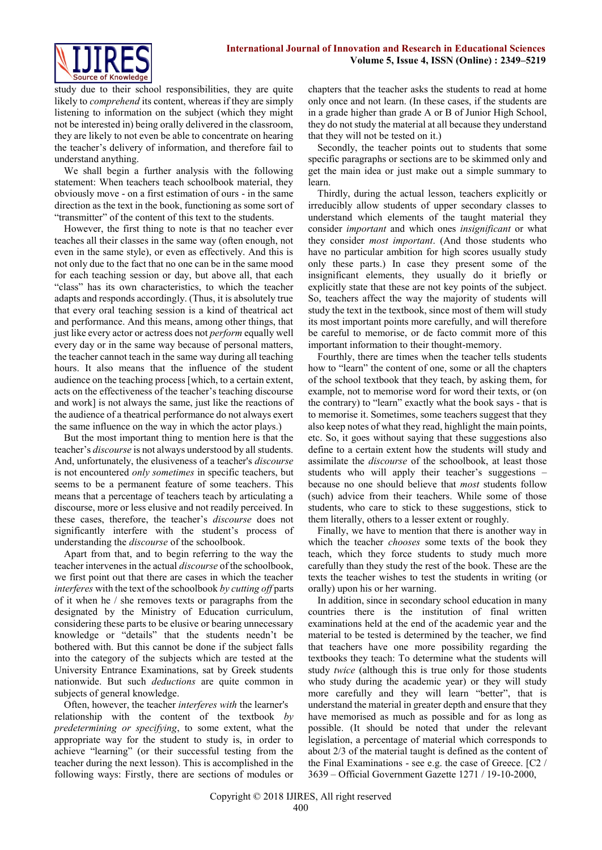

study due to their school responsibilities, they are quite likely to *comprehend* its content, whereas if they are simply listening to information on the subject (which they might not be interested in) being orally delivered in the classroom, they are likely to not even be able to concentrate on hearing the teacher's delivery of information, and therefore fail to understand anything.

We shall begin a further analysis with the following statement: When teachers teach schoolbook material, they obviously move - on a first estimation of ours - in the same direction as the text in the book, functioning as some sort of "transmitter" of the content of this text to the students.

However, the first thing to note is that no teacher ever teaches all their classes in the same way (often enough, not even in the same style), or even as effectively. And this is not only due to the fact that no one can be in the same mood for each teaching session or day, but above all, that each "class" has its own characteristics, to which the teacher adapts and responds accordingly. (Thus, it is absolutely true that every oral teaching session is a kind of theatrical act and performance. And this means, among other things, that just like every actor or actress does not *perform* equally well every day or in the same way because of personal matters, the teacher cannot teach in the same way during all teaching hours. It also means that the influence of the student audience on the teaching process [which, to a certain extent, acts on the effectiveness of the teacher's teaching discourse and work] is not always the same, just like the reactions of the audience of a theatrical performance do not always exert the same influence on the way in which the actor plays.)

But the most important thing to mention here is that the teacher's *discourse* is not always understood by all students. And, unfortunately, the elusiveness of a teacher's *discourse* is not encountered *only sometimes* in specific teachers, but seems to be a permanent feature of some teachers. This means that a percentage of teachers teach by articulating a discourse, more or less elusive and not readily perceived. In these cases, therefore, the teacher's *discourse* does not significantly interfere with the student's process of understanding the *discourse* of the schoolbook.

Apart from that, and to begin referring to the way the teacher intervenes in the actual *discourse* of the schoolbook, we first point out that there are cases in which the teacher *interferes* with the text of the schoolbook *by cutting off* parts of it when he / she removes texts or paragraphs from the designated by the Ministry of Education curriculum, considering these parts to be elusive or bearing unnecessary knowledge or "details" that the students needn't be bothered with. But this cannot be done if the subject falls into the category of the subjects which are tested at the University Entrance Examinations, sat by Greek students nationwide. But such *deductions* are quite common in subjects of general knowledge.

Often, however, the teacher *interferes with* the learner's relationship with the content of the textbook *by predetermining or specifying*, to some extent, what the appropriate way for the student to study is, in order to achieve "learning" (or their successful testing from the teacher during the next lesson). This is accomplished in the following ways: Firstly, there are sections of modules or chapters that the teacher asks the students to read at home only once and not learn. (In these cases, if the students are in a grade higher than grade A or B of Junior High School, they do not study the material at all because they understand that they will not be tested on it.)

Secondly, the teacher points out to students that some specific paragraphs or sections are to be skimmed only and get the main idea or just make out a simple summary to learn.

Thirdly, during the actual lesson, teachers explicitly or irreducibly allow students of upper secondary classes to understand which elements of the taught material they consider *important* and which ones *insignificant* or what they consider *most important*. (And those students who have no particular ambition for high scores usually study only these parts.) In case they present some of the insignificant elements, they usually do it briefly or explicitly state that these are not key points of the subject. So, teachers affect the way the majority of students will study the text in the textbook, since most of them will study its most important points more carefully, and will therefore be careful to memorise, or de facto commit more of this important information to their thought-memory.

Fourthly, there are times when the teacher tells students how to "learn" the content of one, some or all the chapters of the school textbook that they teach, by asking them, for example, not to memorise word for word their texts, or (on the contrary) to "learn" exactly what the book says - that is to memorise it. Sometimes, some teachers suggest that they also keep notes of what they read, highlight the main points, etc. So, it goes without saying that these suggestions also define to a certain extent how the students will study and assimilate the *discourse* of the schoolbook, at least those students who will apply their teacher's suggestions – because no one should believe that *most* students follow (such) advice from their teachers. While some of those students, who care to stick to these suggestions, stick to them literally, others to a lesser extent or roughly.

Finally, we have to mention that there is another way in which the teacher *chooses* some texts of the book they teach, which they force students to study much more carefully than they study the rest of the book. These are the texts the teacher wishes to test the students in writing (or orally) upon his or her warning.

In addition, since in secondary school education in many countries there is the institution of final written examinations held at the end of the academic year and the material to be tested is determined by the teacher, we find that teachers have one more possibility regarding the textbooks they teach: To determine what the students will study *twice* (although this is true only for those students who study during the academic year) or they will study more carefully and they will learn "better", that is understand the material in greater depth and ensure that they have memorised as much as possible and for as long as possible. (It should be noted that under the relevant legislation, a percentage of material which corresponds to about 2/3 of the material taught is defined as the content of the Final Examinations - see e.g. the case of Greece. [C2 / 3639 – Official Government Gazette 1271 / 19-10-2000,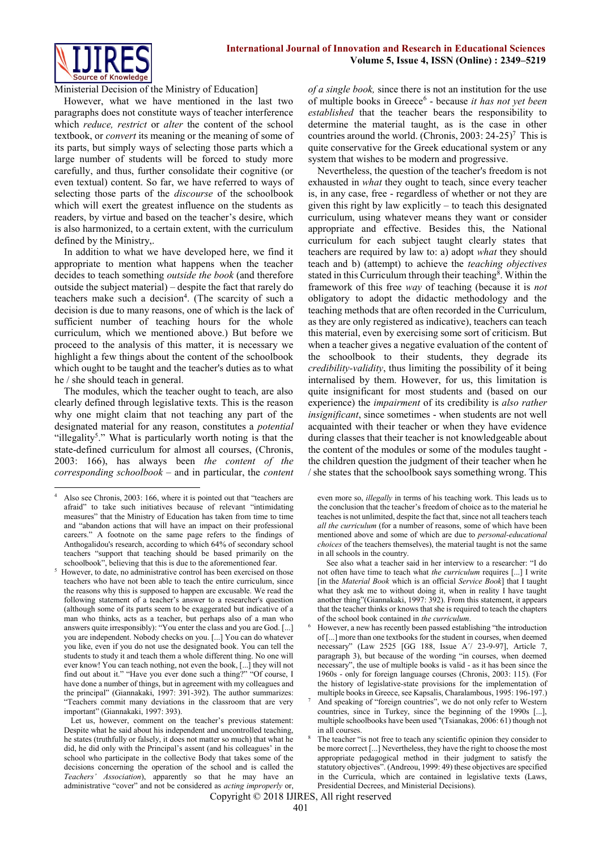

Ministerial Decision of the Ministry of Education]

However, what we have mentioned in the last two paragraphs does not constitute ways of teacher interference which *reduce, restrict* or *alter* the content of the school textbook, or *convert* its meaning or the meaning of some of its parts, but simply ways of selecting those parts which a large number of students will be forced to study more carefully, and thus, further consolidate their cognitive (or even textual) content. So far, we have referred to ways of selecting those parts of the *discourse* of the schoolbook which will exert the greatest influence on the students as readers, by virtue and based on the teacher's desire, which is also harmonized, to a certain extent, with the curriculum defined by the Ministry,.

In addition to what we have developed here, we find it appropriate to mention what happens when the teacher decides to teach something *outside the book* (and therefore outside the subject material) – despite the fact that rarely do teachers make such a decision<sup>4</sup>. (The scarcity of such a decision is due to many reasons, one of which is the lack of sufficient number of teaching hours for the whole curriculum, which we mentioned above.) But before we proceed to the analysis of this matter, it is necessary we highlight a few things about the content of the schoolbook which ought to be taught and the teacher's duties as to what he / she should teach in general.

The modules, which the teacher ought to teach, are also clearly defined through legislative texts. This is the reason why one might claim that not teaching any part of the designated material for any reason, constitutes a *potential* "illegality<sup>5</sup>." What is particularly worth noting is that the state-defined curriculum for almost all courses, (Chronis, 2003: 166), has always been *the content of the corresponding schoolbook* – and in particular, the *content* 

**.** 

*of a single book,* since there is not an institution for the use of multiple books in Greece<sup>6</sup> - because *it has not yet been established* that the teacher bears the responsibility to determine the material taught, as is the case in other countries around the world. (Chronis,  $2003: 24-25$ )<sup>7</sup> This is quite conservative for the Greek educational system or any system that wishes to be modern and progressive.

Nevertheless, the question of the teacher's freedom is not exhausted in *what* they ought to teach, since every teacher is, in any case, free - regardless of whether or not they are given this right by law explicitly – to teach this designated curriculum, using whatever means they want or consider appropriate and effective. Besides this, the National curriculum for each subject taught clearly states that teachers are required by law to: a) adopt *what* they should teach and b) (attempt) to achieve the *teaching objectives* stated in this Curriculum through their teaching<sup>8</sup>. Within the framework of this free *way* of teaching (because it is *not*  obligatory to adopt the didactic methodology and the teaching methods that are often recorded in the Curriculum, as they are only registered as indicative), teachers can teach this material, even by exercising some sort of criticism. But when a teacher gives a negative evaluation of the content of the schoolbook to their students, they degrade its *credibility-validity*, thus limiting the possibility of it being internalised by them. However, for us, this limitation is quite insignificant for most students and (based on our experience) the *impairment* of its credibility is *also rather insignificant*, since sometimes - when students are not well acquainted with their teacher or when they have evidence during classes that their teacher is not knowledgeable about the content of the modules or some of the modules taught the children question the judgment of their teacher when he / she states that the schoolbook says something wrong. This

even more so, *illegally* in terms of his teaching work. This leads us to the conclusion that the teacher's freedom of choice as to the material he teaches is not unlimited, despite the fact that, since not all teachers teach *all the curriculum* (for a number of reasons, some of which have been mentioned above and some of which are due to *personal-educational choices* of the teachers themselves), the material taught is not the same in all schools in the country.

 See also what a teacher said in her interview to a researcher: "I do not often have time to teach what *the curriculum* requires [...] I write [in the *Material Book* which is an official *Service Book*] that I taught what they ask me to without doing it, when in reality I have taught another thing"(Giannakaki, 1997: 392). From this statement, it appears that the teacher thinks or knows that she is required to teach the chapters of the school book contained in *the curriculum*.

However, a new has recently been passed establishing "the introduction of [...] more than one textbooks for the student in courses, when deemed necessary" (Law 2525 [GG 188, Issue A΄/ 23-9-97], Article 7, paragraph 3), but because of the wording "in courses, when deemed necessary", the use of multiple books is valid - as it has been since the 1960s - only for foreign language courses (Chronis, 2003: 115). (For the history of legislative-state provisions for the implementation of multiple books in Greece, see Kapsalis, Charalambous, 1995: 196-197.)

7 And speaking of "foreign countries", we do not only refer to Western countries, since in Turkey, since the beginning of the 1990s [...], multiple schoolbooks have been used "(Tsianakas, 2006: 61) though not in all courses.

Copyright © 2018 IJIRES, All right reserved

<sup>4</sup> Also see Chronis, 2003: 166, where it is pointed out that "teachers are afraid" to take such initiatives because of relevant "intimidating measures" that the Ministry of Education has taken from time to time and "abandon actions that will have an impact on their professional careers." A footnote on the same page refers to the findings of Anthogalidou's research, according to which 64% of secondary school teachers "support that teaching should be based primarily on the schoolbook", believing that this is due to the aforementioned fear.

<sup>5</sup> However, to date, no administrative control has been exercised on those teachers who have not been able to teach the entire curriculum, since the reasons why this is supposed to happen are excusable. We read the following statement of a teacher's answer to a researcher's question (although some of its parts seem to be exaggerated but indicative of a man who thinks, acts as a teacher, but perhaps also of a man who answers quite irresponsibly): "You enter the class and you are God. [...] you are independent. Nobody checks on you. [...] You can do whatever you like, even if you do not use the designated book. You can tell the students to study it and teach them a whole different thing. No one will ever know! You can teach nothing, not even the book, [...] they will not find out about it." "Have you ever done such a thing?" "Of course, I have done a number of things, but in agreement with my colleagues and the principal" (Giannakaki, 1997: 391-392). The author summarizes: "Teachers commit many deviations in the classroom that are very important" (Giannakaki, 1997: 393).

Let us, however, comment on the teacher's previous statement: Despite what he said about his independent and uncontrolled teaching, he states (truthfully or falsely, it does not matter so much) that what he did, he did only with the Principal's assent (and his colleagues' in the school who participate in the collective Body that takes some of the decisions concerning the operation of the school and is called the *Teachers' Association*), apparently so that he may have an administrative "cover" and not be considered as *acting improperly* or,

The teacher "is not free to teach any scientific opinion they consider to be more correct [...] Nevertheless, they have the right to choose the most appropriate pedagogical method in their judgment to satisfy the statutory objectives". (Andreou, 1999: 49) these objectives are specified in the Curricula, which are contained in legislative texts (Laws, Presidential Decrees, and Ministerial Decisions).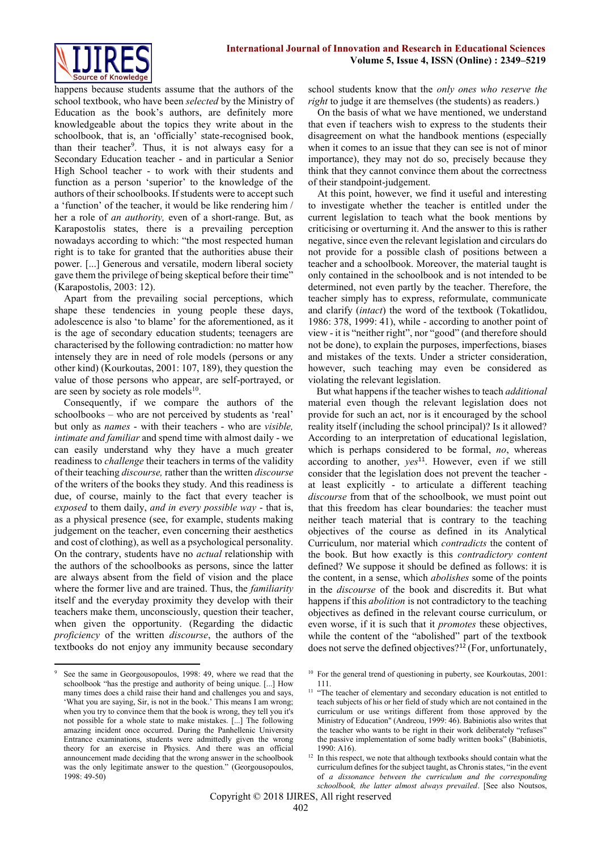happens because students assume that the authors of the school textbook, who have been *selected* by the Ministry of Education as the book's authors, are definitely more knowledgeable about the topics they write about in the schoolbook, that is, an 'officially' state-recognised book, than their teacher<sup>9</sup>. Thus, it is not always easy for a Secondary Education teacher - and in particular a Senior High School teacher - to work with their students and function as a person 'superior' to the knowledge of the authors of their schoolbooks. If students were to accept such a 'function' of the teacher, it would be like rendering him / her a role of *an authority,* even of a short-range. But, as Karapostolis states, there is a prevailing perception nowadays according to which: "the most respected human right is to take for granted that the authorities abuse their power. [...] Generous and versatile, modern liberal society gave them the privilege of being skeptical before their time" (Karapostolis, 2003: 12).

Apart from the prevailing social perceptions, which shape these tendencies in young people these days, adolescence is also 'to blame' for the aforementioned, as it is the age of secondary education students; teenagers are characterised by the following contradiction: no matter how intensely they are in need of role models (persons or any other kind) (Kourkoutas, 2001: 107, 189), they question the value of those persons who appear, are self-portrayed, or are seen by society as role models<sup>10</sup>.

Consequently, if we compare the authors of the schoolbooks – who are not perceived by students as 'real' but only as *names* - with their teachers - who are *visible, intimate and familiar* and spend time with almost daily - we can easily understand why they have a much greater readiness to *challenge* their teachers in terms of the validity of their teaching *discourse,* rather than the written *discourse* of the writers of the books they study. And this readiness is due, of course, mainly to the fact that every teacher is *exposed* to them daily, *and in every possible way* - that is, as a physical presence (see, for example, students making judgement on the teacher, even concerning their aesthetics and cost of clothing), as well as a psychological personality. On the contrary, students have no *actual* relationship with the authors of the schoolbooks as persons, since the latter are always absent from the field of vision and the place where the former live and are trained. Thus, the *familiarity* itself and the everyday proximity they develop with their teachers make them, unconsciously, question their teacher, when given the opportunity. (Regarding the didactic *proficiency* of the written *discourse*, the authors of the textbooks do not enjoy any immunity because secondary

school students know that the *only ones who reserve the right* to judge it are themselves (the students) as readers.)

On the basis of what we have mentioned, we understand that even if teachers wish to express to the students their disagreement on what the handbook mentions (especially when it comes to an issue that they can see is not of minor importance), they may not do so, precisely because they think that they cannot convince them about the correctness of their standpoint-judgement.

At this point, however, we find it useful and interesting to investigate whether the teacher is entitled under the current legislation to teach what the book mentions by criticising or overturning it. And the answer to this is rather negative, since even the relevant legislation and circulars do not provide for a possible clash of positions between a teacher and a schoolbook. Moreover, the material taught is only contained in the schoolbook and is not intended to be determined, not even partly by the teacher. Therefore, the teacher simply has to express, reformulate, communicate and clarify (*intact*) the word of the textbook (Tokatlidou, 1986: 378, 1999: 41), while - according to another point of view - it is "neither right", nor "good" (and therefore should not be done), to explain the purposes, imperfections, biases and mistakes of the texts. Under a stricter consideration, however, such teaching may even be considered as violating the relevant legislation.

But what happens if the teacher wishes to teach *additional* material even though the relevant legislation does not provide for such an act, nor is it encouraged by the school reality itself (including the school principal)? Is it allowed? According to an interpretation of educational legislation, which is perhaps considered to be formal, *no*, whereas according to another,  $ves^{11}$ . However, even if we still consider that the legislation does not prevent the teacher at least explicitly - to articulate a different teaching *discourse* from that of the schoolbook, we must point out that this freedom has clear boundaries: the teacher must neither teach material that is contrary to the teaching objectives of the course as defined in its Analytical Curriculum, nor material which *contradicts* the content of the book. But how exactly is this *contradictory content* defined? We suppose it should be defined as follows: it is the content, in a sense, which *abolishes* some of the points in the *discourse* of the book and discredits it. But what happens if this *abolition* is not contradictory to the teaching objectives as defined in the relevant course curriculum, or even worse, if it is such that it *promotes* these objectives, while the content of the "abolished" part of the textbook does not serve the defined objectives?<sup>12</sup> (For, unfortunately,

<sup>1</sup> See the same in Georgousopoulos, 1998: 49, where we read that the schoolbook "has the prestige and authority of being unique. [...] How many times does a child raise their hand and challenges you and says, 'What you are saying, Sir, is not in the book.' This means I am wrong; when you try to convince them that the book is wrong, they tell you it's not possible for a whole state to make mistakes. [...] The following amazing incident once occurred. During the Panhellenic University Entrance examinations, students were admittedly given the wrong theory for an exercise in Physics. And there was an official announcement made deciding that the wrong answer in the schoolbook was the only legitimate answer to the question." (Georgousopoulos, 1998: 49-50)

<sup>&</sup>lt;sup>10</sup> For the general trend of questioning in puberty, see Kourkoutas, 2001: 111.

<sup>&</sup>lt;sup>11</sup> "The teacher of elementary and secondary education is not entitled to teach subjects of his or her field of study which are not contained in the curriculum or use writings different from those approved by the Ministry of Education" (Andreou, 1999: 46). Babiniotis also writes that the teacher who wants to be right in their work deliberately "refuses" the passive implementation of some badly written books" (Babiniotis, 1990: A16).

<sup>&</sup>lt;sup>12</sup> In this respect, we note that although textbooks should contain what the curriculum defines for the subject taught, as Chronis states, "in the event of *a dissonance between the curriculum and the corresponding schoolbook, the latter almost always prevailed*. [See also Noutsos,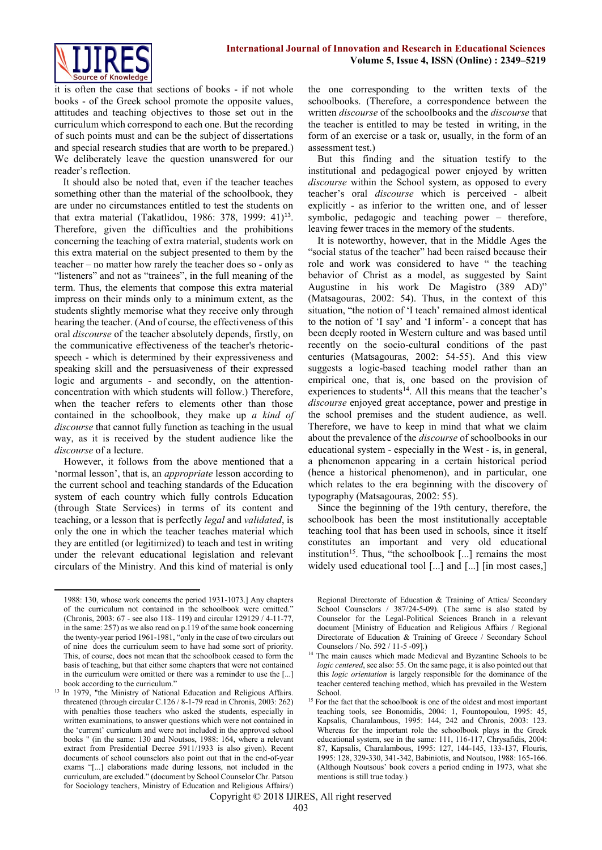

it is often the case that sections of books - if not whole books - of the Greek school promote the opposite values, attitudes and teaching objectives to those set out in the curriculum which correspond to each one. But the recording of such points must and can be the subject of dissertations and special research studies that are worth to be prepared.) We deliberately leave the question unanswered for our reader's reflection.

It should also be noted that, even if the teacher teaches something other than the material of the schoolbook, they are under no circumstances entitled to test the students on that extra material (Takatlidou, 1986: 378, 1999: 41)<sup>13</sup>. Therefore, given the difficulties and the prohibitions concerning the teaching of extra material, students work on this extra material on the subject presented to them by the teacher – no matter how rarely the teacher does so - only as "listeners" and not as "trainees", in the full meaning of the term. Thus, the elements that compose this extra material impress on their minds only to a minimum extent, as the students slightly memorise what they receive only through hearing the teacher. (And of course, the effectiveness of this oral *discourse* of the teacher absolutely depends, firstly, on the communicative effectiveness of the teacher's rhetoricspeech - which is determined by their expressiveness and speaking skill and the persuasiveness of their expressed logic and arguments - and secondly, on the attentionconcentration with which students will follow.) Therefore, when the teacher refers to elements other than those contained in the schoolbook, they make up *a kind of discourse* that cannot fully function as teaching in the usual way, as it is received by the student audience like the *discourse* of a lecture.

However, it follows from the above mentioned that a 'normal lesson', that is, an *appropriate* lesson according to the current school and teaching standards of the Education system of each country which fully controls Education (through State Services) in terms of its content and teaching, or a lesson that is perfectly *legal* and *validated*, is only the one in which the teacher teaches material which they are entitled (or legitimized) to teach and test in writing under the relevant educational legislation and relevant circulars of the Ministry. And this kind of material is only

1

the one corresponding to the written texts of the schoolbooks. (Therefore, a correspondence between the written *discourse* of the schoolbooks and the *discourse* that the teacher is entitled to may be tested in writing, in the form of an exercise or a task or, usually, in the form of an assessment test.)

But this finding and the situation testify to the institutional and pedagogical power enjoyed by written *discourse* within the School system, as opposed to every teacher's oral *discourse* which is perceived - albeit explicitly - as inferior to the written one, and of lesser symbolic, pedagogic and teaching power – therefore, leaving fewer traces in the memory of the students.

It is noteworthy, however, that in the Middle Ages the "social status of the teacher" had been raised because their role and work was considered to have " the teaching behavior of Christ as a model, as suggested by Saint Augustine in his work De Magistro (389 AD)" (Matsagouras, 2002: 54). Thus, in the context of this situation, "the notion of 'I teach' remained almost identical to the notion of 'I say' and 'I inform'- a concept that has been deeply rooted in Western culture and was based until recently on the socio-cultural conditions of the past centuries (Matsagouras, 2002: 54-55). And this view suggests a logic-based teaching model rather than an empirical one, that is, one based on the provision of experiences to students<sup>14</sup>. All this means that the teacher's *discourse* enjoyed great acceptance, power and prestige in the school premises and the student audience, as well. Therefore, we have to keep in mind that what we claim about the prevalence of the *discourse* of schoolbooks in our educational system - especially in the West - is, in general, a phenomenon appearing in a certain historical period (hence a historical phenomenon), and in particular, one which relates to the era beginning with the discovery of typography (Matsagouras, 2002: 55).

Since the beginning of the 19th century, therefore, the schoolbook has been the most institutionally acceptable teaching tool that has been used in schools, since it itself constitutes an important and very old educational institution<sup>15</sup>. Thus, "the schoolbook [...] remains the most widely used educational tool [...] and [...] [in most cases,]

<sup>1988: 130,</sup> whose work concerns the period 1931-1073.] Any chapters of the curriculum not contained in the schoolbook were omitted." (Chronis, 2003: 67 - see also 118- 119) and circular 129129 / 4-11-77, in the same: 257) as we also read on p.119 of the same book concerning the twenty-year period 1961-1981, "only in the case of two circulars out of nine does the curriculum seem to have had some sort of priority. This, of course, does not mean that the schoolbook ceased to form the basis of teaching, but that either some chapters that were not contained in the curriculum were omitted or there was a reminder to use the [...] book according to the curriculum.'

<sup>&</sup>lt;sup>13</sup> In 1979, "the Ministry of National Education and Religious Affairs. threatened (through circular C.126 / 8-1-79 read in Chronis, 2003: 262) with penalties those teachers who asked the students, especially in written examinations, to answer questions which were not contained in the 'current' curriculum and were not included in the approved school books " (in the same: 130 and Noutsos, 1988: 164, where a relevant extract from Presidential Decree 5911/1933 is also given). Recent documents of school counselors also point out that in the end-of-year exams "[...] elaborations made during lessons, not included in the curriculum, are excluded." (document by School Counselor Chr. Patsou for Sociology teachers, Ministry of Education and Religious Affairs/)

Regional Directorate of Education & Training of Attica/ Secondary School Counselors / 387/24-5-09). (The same is also stated by Counselor for the Legal-Political Sciences Branch in a relevant document [Ministry of Education and Religious Affairs / Regional Directorate of Education & Training of Greece / Secondary School Counselors / No. 592 / 11-5 -09].)

<sup>&</sup>lt;sup>14</sup> The main causes which made Medieval and Byzantine Schools to be *logic centered*, see also: 55. On the same page, it is also pointed out that this *logic orientation* is largely responsible for the dominance of the teacher centered teaching method, which has prevailed in the Western School.

<sup>&</sup>lt;sup>15</sup> For the fact that the schoolbook is one of the oldest and most important teaching tools, see Bonomidis, 2004: 1, Fountopoulou, 1995: 45, Kapsalis, Charalambous, 1995: 144, 242 and Chronis, 2003: 123. Whereas for the important role the schoolbook plays in the Greek educational system, see in the same: 111, 116-117, Chrysafidis, 2004: 87, Kapsalis, Charalambous, 1995: 127, 144-145, 133-137, Flouris, 1995: 128, 329-330, 341-342, Babiniotis, and Noutsou, 1988: 165-166. (Although Noutsous' book covers a period ending in 1973, what she mentions is still true today.)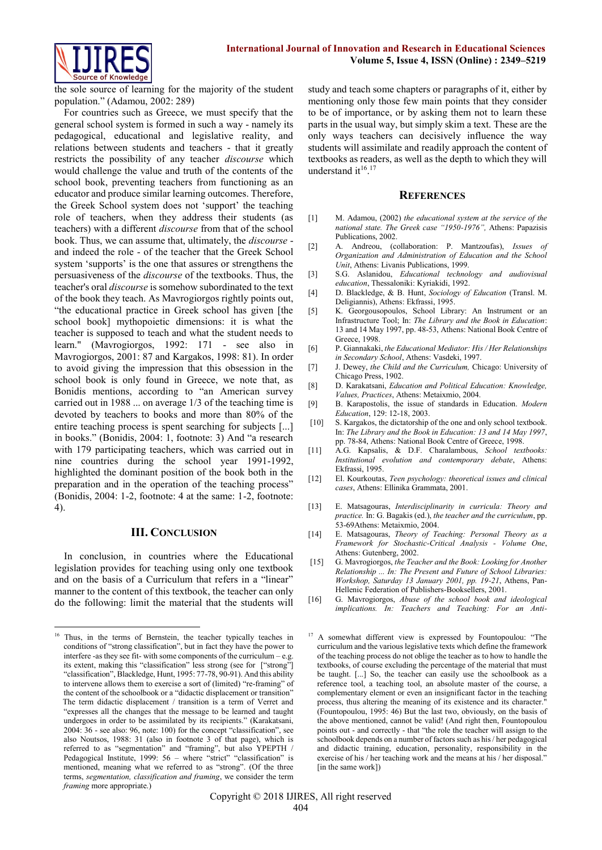

the sole source of learning for the majority of the student population." (Adamou, 2002: 289)

For countries such as Greece, we must specify that the general school system is formed in such a way - namely its pedagogical, educational and legislative reality, and relations between students and teachers - that it greatly restricts the possibility of any teacher *discourse* which would challenge the value and truth of the contents of the school book, preventing teachers from functioning as an educator and produce similar learning outcomes. Therefore, the Greek School system does not 'support' the teaching role of teachers, when they address their students (as teachers) with a different *discourse* from that of the school book. Thus, we can assume that, ultimately, the *discourse* and indeed the role - of the teacher that the Greek School system 'supports' is the one that assures or strengthens the persuasiveness of the *discourse* of the textbooks. Thus, the teacher's oral *discourse* is somehow subordinated to the text of the book they teach. As Mavrogiorgos rightly points out, "the educational practice in Greek school has given [the school book] mythopoietic dimensions: it is what the teacher is supposed to teach and what the student needs to learn." (Mavrogiorgos, 1992: 171 - see also in Mavrogiorgos, 2001: 87 and Kargakos, 1998: 81). In order to avoid giving the impression that this obsession in the school book is only found in Greece, we note that, as Bonidis mentions, according to "an American survey carried out in 1988 ... on average 1/3 of the teaching time is devoted by teachers to books and more than 80% of the entire teaching process is spent searching for subjects [...] in books." (Bonidis, 2004: 1, footnote: 3) And "a research with 179 participating teachers, which was carried out in nine countries during the school year 1991-1992, highlighted the dominant position of the book both in the preparation and in the operation of the teaching process" (Bonidis, 2004: 1-2, footnote: 4 at the same: 1-2, footnote: 4).

### **III. CONCLUSION**

In conclusion, in countries where the Educational legislation provides for teaching using only one textbook and on the basis of a Curriculum that refers in a "linear" manner to the content of this textbook, the teacher can only do the following: limit the material that the students will study and teach some chapters or paragraphs of it, either by mentioning only those few main points that they consider to be of importance, or by asking them not to learn these parts in the usual way, but simply skim a text. These are the only ways teachers can decisively influence the way students will assimilate and readily approach the content of textbooks as readers, as well as the depth to which they will understand it<sup>16</sup>.<sup>17</sup>

#### **REFERENCES**

- [1] M. Adamou, (2002) *the educational system at the service of the national state. The Greek case "1950-1976",* Athens: Papazisis Publications, 2002.
- [2] A. Andreou, (collaboration: P. Mantzoufas), *Issues of Organization and Administration of Education and the School Unit*, Athens: Livanis Publications, 1999.
- [3] S.G. Aslanidou, *Educational technology and audiovisual education*, Thessaloniki: Kyriakidi, 1992.
- [4] D. Blackledge, & B. Hunt, *Sociology of Education* (Transl. M. Deligiannis), Athens: Ekfrassi, 1995.
- [5] K. Georgousopoulos, School Library: An Instrument or an Infrastructure Tool; In: *The Library and the Book in Education*: 13 and 14 May 1997, pp. 48-53, Athens: National Book Centre of Greece, 1998.
- [6] P. Giannakaki, *the Educational Mediator: His / Her Relationships in Secondary School*, Athens: Vasdeki, 1997.
- [7] J. Dewey, *the Child and the Curriculum,* Chicago: University of Chicago Press, 1902.
- [8] D. Karakatsani, *Education and Political Education: Knowledge, Values, Practices*, Athens: Metaixmio, 2004.
- [9] B. Karapostolis, the issue of standards in Education. *Modern Education*, 129: 12-18, 2003.
- [10] S. Kargakos, the dictatorship of the one and only school textbook. In: *The Library and the Book in Education: 13 and 14 May 1997*, pp. 78-84, Athens: National Book Centre of Greece, 1998.
- [11] A.G. Kapsalis, & D.F. Charalambous, *School textbooks: Institutional evolution and contemporary debate*, Athens: Ekfrassi, 1995.
- [12] El. Kourkoutas, *Teen psychology: theoretical issues and clinical cases*, Athens: Ellinika Grammata, 2001.
- [13] E. Matsagouras, *Interdisciplinarity in curricula: Theory and practice.* In: G. Bagakis (ed.), *the teacher and the curriculum*, pp. 53-69Athens: Metaixmio, 2004.
- [14] E. Matsagouras, *Theory of Teaching: Personal Theory as a Framework for Stochastic-Critical Analysis - Volume One*, Athens: Gutenberg, 2002.
- [15] G. Mavrogiorgos, *the Teacher and the Book: Looking for Another Relationship ... In: The Present and Future of School Libraries: Workshop, Saturday 13 January 2001, pp. 19-21*, Athens, Pan-Hellenic Federation of Publishers-Booksellers, 2001.
- [16] G. Mavrogiorgos, *Abuse of the school book and ideological implications. In: Teachers and Teaching: For an Anti-*

**<sup>.</sup>** <sup>16</sup> Thus, in the terms of Bernstein, the teacher typically teaches in conditions of "strong classification", but in fact they have the power to interfere -as they see fit- with some components of the curriculum – e.g. its extent, making this "classification" less strong (see for ["strong"] "classification", Blackledge, Hunt, 1995: 77-78, 90-91). And this ability to intervene allows them to exercise a sort of (limited) "re-framing" of the content of the schoolbook or a "didactic displacement or transition" The term didactic displacement / transition is a term of Verret and "expresses all the changes that the message to be learned and taught undergoes in order to be assimilated by its recipients." (Karakatsani, 2004: 36 - see also: 96, note: 100) for the concept "classification", see also Noutsos, 1988: 31 (also in footnote 3 of that page), which is referred to as "segmentation" and "framing", but also YPEPTH / Pedagogical Institute, 1999: 56 - where "strict" "classification" is mentioned, meaning what we referred to as "strong". (Of the three terms, *segmentation, classification and framing*, we consider the term *framing* more appropriate.)

<sup>&</sup>lt;sup>17</sup> A somewhat different view is expressed by Fountopoulou: "The curriculum and the various legislative texts which define the framework of the teaching process do not oblige the teacher as to how to handle the textbooks, of course excluding the percentage of the material that must be taught. [...] So, the teacher can easily use the schoolbook as a reference tool, a teaching tool, an absolute master of the course, a complementary element or even an insignificant factor in the teaching process, thus altering the meaning of its existence and its character. (Fountopoulou, 1995: 46) But the last two, obviously, on the basis of the above mentioned, cannot be valid! (And right then, Fountopoulou points out - and correctly - that "the role the teacher will assign to the schoolbook depends on a number of factors such as his / her pedagogical and didactic training, education, personality, responsibility in the exercise of his / her teaching work and the means at his / her disposal." [in the same work])